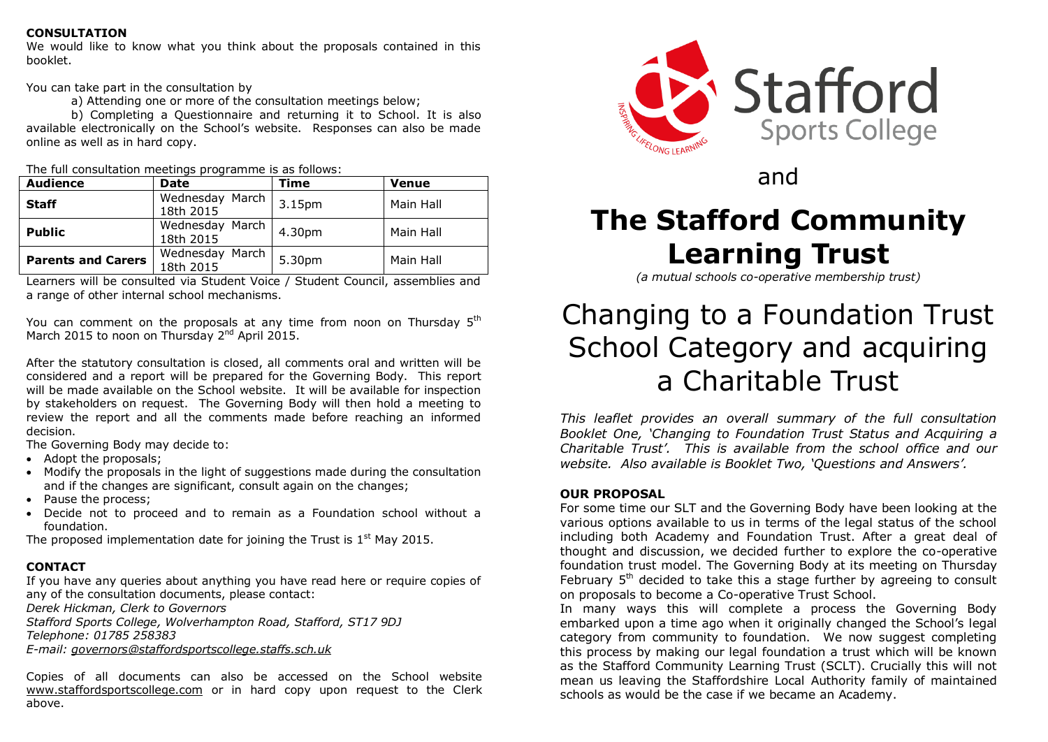#### **CONSULTATION**

We would like to know what you think about the proposals contained in this booklet.

You can take part in the consultation by

a) Attending one or more of the consultation meetings below;

b) Completing a Questionnaire and returning it to School. It is also available electronically on the School's website. Responses can also be made online as well as in hard copy.

| The full consultation meetings programme is as follows: |  |  |
|---------------------------------------------------------|--|--|
|                                                         |  |  |

| <b>Audience</b>           | <b>Date</b>                  | Time   | <b>Venue</b> |
|---------------------------|------------------------------|--------|--------------|
| <b>Staff</b>              | Wednesday March<br>18th 2015 | 3.15pm | Main Hall    |
| <b>Public</b>             | Wednesday March<br>18th 2015 | 4.30pm | Main Hall    |
| <b>Parents and Carers</b> | Wednesday March<br>18th 2015 | 5.30pm | Main Hall    |

Learners will be consulted via Student Voice / Student Council, assemblies and a range of other internal school mechanisms.

You can comment on the proposals at any time from noon on Thursday  $5<sup>th</sup>$ March 2015 to noon on Thursday 2<sup>nd</sup> April 2015.

After the statutory consultation is closed, all comments oral and written will be considered and a report will be prepared for the Governing Body. This report will be made available on the School website. It will be available for inspection by stakeholders on request. The Governing Body will then hold a meeting to review the report and all the comments made before reaching an informed decision.

The Governing Body may decide to:

- Adopt the proposals:
- Modify the proposals in the light of suggestions made during the consultation and if the changes are significant, consult again on the changes;
- Pause the process:
- Decide not to proceed and to remain as a Foundation school without a foundation.

The proposed implementation date for joining the Trust is  $1<sup>st</sup>$  May 2015.

### **CONTACT**

If you have any queries about anything you have read here or require copies of any of the consultation documents, please contact:

*Derek Hickman, Clerk to Governors*

*Stafford Sports College, Wolverhampton Road, Stafford, ST17 9DJ Telephone: 01785 258383*

*E-mail: [governors@staffordsportscollege.staffs.sch.uk](mailto:governors@staffordsportscollege.staffs.sch.uk)*

Copies of all documents can also be accessed on the School website [www.staffordsportscollege.com](http://www.staffordsportscollege.com/) or in hard copy upon request to the Clerk above.



and

# **The Stafford Community Learning Trust**

*(a mutual schools co-operative membership trust)*

## Changing to a Foundation Trust School Category and acquiring a Charitable Trust

*This leaflet provides an overall summary of the full consultation Booklet One, 'Changing to Foundation Trust Status and Acquiring a Charitable Trust'. This is available from the school office and our website. Also available is Booklet Two, 'Questions and Answers'.*

## **OUR PROPOSAL**

For some time our SLT and the Governing Body have been looking at the various options available to us in terms of the legal status of the school including both Academy and Foundation Trust. After a great deal of thought and discussion, we decided further to explore the co-operative foundation trust model. The Governing Body at its meeting on Thursday February  $5<sup>th</sup>$  decided to take this a stage further by agreeing to consult on proposals to become a Co-operative Trust School.

In many ways this will complete a process the Governing Body embarked upon a time ago when it originally changed the School's legal category from community to foundation. We now suggest completing this process by making our legal foundation a trust which will be known as the Stafford Community Learning Trust (SCLT). Crucially this will not mean us leaving the Staffordshire Local Authority family of maintained schools as would be the case if we became an Academy.